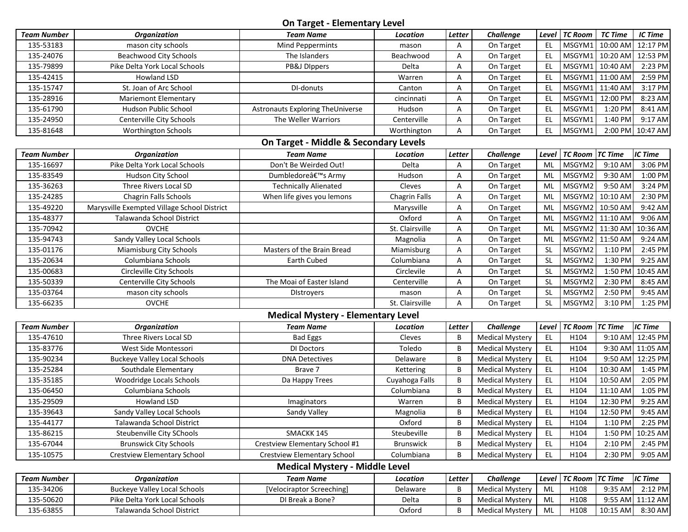**On Target - Elementary Level**

|                    |                                             | $\sum_{i=1}^{n} a_i$                      |                      |        |                        |               |                |                 |                  |
|--------------------|---------------------------------------------|-------------------------------------------|----------------------|--------|------------------------|---------------|----------------|-----------------|------------------|
| <b>Team Number</b> | <b>Organization</b>                         | <b>Team Name</b>                          | Location             | Letter | Challenge              | Level         | <b>TC Room</b> | <b>TC Time</b>  | IC Time          |
| 135-53183          | mason city schools                          | Mind Peppermints                          | mason                | Α      | On Target              | EL.           | MSGYM1         | 10:00 AM        | 12:17 PM         |
| 135-24076          | <b>Beachwood City Schools</b>               | The Islanders                             | Beachwood            | Α      | On Target              | EL            |                | MSGYM1 10:20 AM | 12:53 PM         |
| 135-79899          | Pike Delta York Local Schools               | PB&J DIppers                              | Delta                | Α      | On Target              | EL            | MSGYM1         | 10:40 AM        | 2:23 PM          |
| 135-42415          | Howland LSD                                 |                                           | Warren               | Α      | On Target              | EL.           | MSGYM1         | 11:00 AM        | 2:59 PM          |
| 135-15747          | St. Joan of Arc School                      | DI-donuts                                 | Canton               | Α      | On Target              | EL.           | MSGYM1         | 11:40 AM        | 3:17 PM          |
| 135-28916          | <b>Mariemont Elementary</b>                 |                                           | cincinnati           | Α      | On Target              | EL.           | MSGYM1         | 12:00 PM        | 8:23 AM          |
| 135-61790          | Hudson Public School                        | Astronauts Exploring TheUniverse          | Hudson               | А      | On Target              | EL            | MSGYM1         | 1:20 PM         | 8:41 AM          |
| 135-24950          | Centerville City Schools                    | The Weller Warriors                       | Centerville          | Α      | On Target              | EL            | MSGYM1         | 1:40 PM         | $9:17$ AM        |
| 135-81648          | Worthington Schools                         |                                           | Worthington          | А      | On Target              | EL.           | MSGYM1         | $2:00$ PM       | 10:47 AM         |
|                    |                                             | On Target - Middle & Secondary Levels     |                      |        |                        |               |                |                 |                  |
| <b>Team Number</b> | <b>Organization</b>                         | <b>Team Name</b>                          | Location             | Letter | Challenge              | Level         | <b>TC Room</b> | <b>TC Time</b>  | IC Time          |
| 135-16697          | Pike Delta York Local Schools               | Don't Be Weirded Out!                     | Delta                | Α      | On Target              | ML            | MSGYM2         | 9:10 AM         | $3:06$ PM        |
| 135-83549          | Hudson City School                          | Dumbledore's Army                         | Hudson               | Α      | On Target              | ML            | MSGYM2         | 9:30 AM         | 1:00 PM          |
| 135-36263          | Three Rivers Local SD                       | <b>Technically Alienated</b>              | Cleves               | Α      | On Target              | ML            | MSGYM2         | 9:50 AM         | 3:24 PM          |
| 135-24285          | Chagrin Falls Schools                       | When life gives you lemons                | <b>Chagrin Falls</b> | Α      | On Target              | ML            | MSGYM2         | 10:10 AM        | 2:30 PM          |
| 135-49220          | Marysville Exempted Village School District |                                           | Marysville           | Α      | On Target              | ML            | MSGYM2         | 10:50 AM        | 9:42 AM          |
| 135-48377          | Talawanda School District                   |                                           | Oxford               | Α      | On Target              | ML            | MSGYM2         | 11:10 AM        | $9:06$ AM        |
| 135-70942          | <b>OVCHE</b>                                |                                           | St. Clairsville      | Α      | On Target              | ML            | MSGYM2         | 11:30 AM        | 10:36 AM         |
| 135-94743          | Sandy Valley Local Schools                  |                                           | Magnolia             | Α      | On Target              | ML            | MSGYM2         | 11:50 AM        | $9:24$ AM        |
| 135-01176          | Miamisburg City Schools                     | Masters of the Brain Bread                | Miamisburg           | Α      | On Target              | <b>SL</b>     | MSGYM2         | 1:10 PM         | 2:45 PM          |
| 135-20634          | Columbiana Schools                          | Earth Cubed                               | Columbiana           | Α      | On Target              | <b>SL</b>     | MSGYM2         | 1:30 PM         | $9:25$ AM        |
| 135-00683          | Circleville City Schools                    |                                           | Circlevile           | Α      | On Target              | <b>SL</b>     | MSGYM2         | 1:50 PM         | 10:45 AM         |
| 135-50339          | Centerville City Schools                    | The Moai of Easter Island                 | Centerville          | Α      | On Target              | <b>SL</b>     | MSGYM2         | 2:30 PM         | $8:45$ AM        |
| 135-03764          | mason city schools                          | <b>Distroyers</b>                         | mason                | Α      | On Target              | <b>SL</b>     | MSGYM2         | 2:50 PM         | 9:45 AM          |
| 135-66235          | <b>OVCHE</b>                                |                                           | St. Clairsville      | Α      | On Target              | <b>SL</b>     | MSGYM2         | 3:10 PM         | $1:25$ PM        |
|                    |                                             | <b>Medical Mystery - Elementary Level</b> |                      |        |                        |               |                |                 |                  |
| <b>Team Number</b> | <b>Organization</b>                         | <b>Team Name</b>                          | Location             | Letter | Challenge              | Level         | <b>TC Room</b> | <b>TC Time</b>  | <b>IC Time</b>   |
| 135-47610          | Three Rivers Local SD                       | <b>Bad Eggs</b>                           | Cleves               | B      | <b>Medical Mystery</b> | EL.           | H104           | 9:10 AM         | 12:45 PM         |
| 135-83776          | West Side Montessori                        | DI Doctors                                | Toledo               | B      | <b>Medical Mystery</b> | $\mathsf{EL}$ | H104           |                 | 9:30 AM 11:05 AM |
| 135-90234          | <b>Buckeye Valley Local Schools</b>         | <b>DNA Detectives</b>                     | Delaware             | B      | <b>Medical Mystery</b> | EL.           | H104           | 9:50 AM         | 12:25 PM         |
| 135-25284          | Southdale Elementary                        | Brave 7                                   | Kettering            | B      | <b>Medical Mystery</b> | EL            | H104           | 10:30 AM        | $1:45$ PM        |
| 135-35185          | Woodridge Locals Schools                    | Da Happy Trees                            | Cuyahoga Falls       | B      | <b>Medical Mystery</b> | $\mathsf{EL}$ | H104           | 10:50 AM        | $2:05$ PM        |
| 135-06450          | Columbiana Schools                          |                                           | Columbiana           | B      | <b>Medical Mystery</b> | EL            | H104           | 11:10 AM        | $1:05$ PM        |
| 135-29509          | <b>Howland LSD</b>                          | Imaginators                               | Warren               | B      | <b>Medical Mystery</b> | EL.           | H104           | 12:30 PM        | $9:25$ AM        |
| 135-39643          | Sandy Valley Local Schools                  | Sandy Valley                              | Magnolia             | B      | Medical Mystery        | EL.           | H104           | 12:50 PM        | $9:45$ AM        |
| 135-44177          | Talawanda School District                   |                                           | Oxford               | B      | <b>Medical Mystery</b> | EL            | H104           | $1:10$ PM       | $2:25$ PM        |
| 135-86215          | Steubenville City SChools                   | SMACKK 145                                | Steubeville          | B      | <b>Medical Mystery</b> | EL            | H104           | 1:50 PM         | 10:25 AM         |
| 135-67044          | <b>Brunswick City Schools</b>               | Crestview Elementary School #1            | <b>Brunswick</b>     | B      | <b>Medical Mystery</b> | EL            | H104           | 2:10 PM         | $2:45$ PM        |
| 135-10575          | Crestview Elementary School                 | Crestview Elementary School               | Columbiana           | B      | <b>Medical Mystery</b> | EL.           | H104           | 2:30 PM         | $9:05$ AM        |
|                    |                                             | <b>Medical Mystery - Middle Level</b>     |                      |        |                        |               |                |                 |                  |
| <b>Team Number</b> | <b>Organization</b>                         | <b>Team Name</b>                          | Location             | Letter | Challenge              | Level         | <b>TC Room</b> | <b>TC Time</b>  | <b>IC Time</b>   |
| 135-34206          | <b>Buckeye Valley Local Schools</b>         | [Velociraptor Screeching]                 | Delaware             | B      | <b>Medical Mystery</b> | ML            | H108           | 9:35 AM         | $2:12$ PM        |
| 135-50620          | Pike Delta York Local Schools               | DI Break a Bone?                          | Delta                | B      | <b>Medical Mystery</b> | ML            | H108           |                 | 9:55 AM 11:12 AM |
| 135-63855          | Talawanda School District                   |                                           | Oxford               | В      | <b>Medical Mystery</b> | ML            | H108           | 10:15 AM        | $8:30$ AM        |
|                    |                                             |                                           |                      |        |                        |               |                |                 |                  |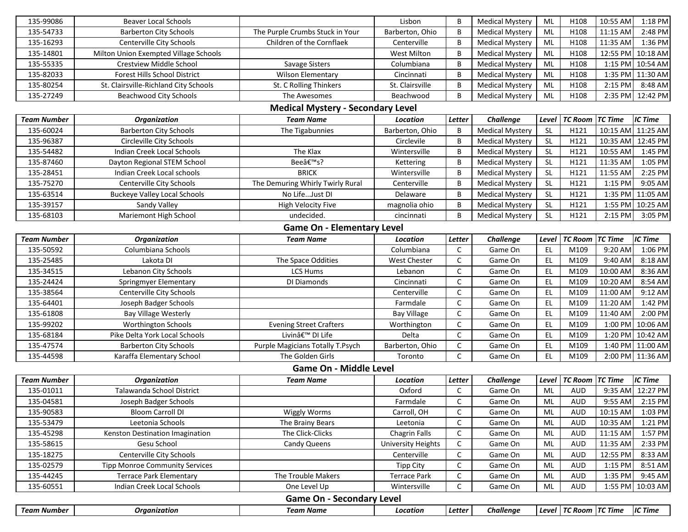| 135-99086                         | <b>Beaver Local Schools</b>           |                                          | Lisbon                    | B            | <b>Medical Mystery</b> | ML                                          | H108                      | 10:55 AM       | 1:18 PM           |  |
|-----------------------------------|---------------------------------------|------------------------------------------|---------------------------|--------------|------------------------|---------------------------------------------|---------------------------|----------------|-------------------|--|
| 135-54733                         | <b>Barberton City Schools</b>         | The Purple Crumbs Stuck in Your          | Barberton, Ohio           | B            | <b>Medical Mystery</b> | ML                                          | H108                      | 11:15 AM       | 2:48 PM           |  |
| 135-16293                         | Centerville City Schools              | Children of the Cornflaek                | Centerville               | B            | Medical Mystery        | ML                                          | H108                      | 11:35 AM       | 1:36 PM           |  |
| 135-14801                         | Milton Union Exempted Village Schools |                                          | <b>West Milton</b>        | B            | <b>Medical Mystery</b> | ML                                          | H108                      |                | 12:55 PM 10:18 AM |  |
| 135-55335                         | Crestview Middle School               | Savage Sisters                           | Columbiana                | B            | <b>Medical Mystery</b> | ML                                          | H108                      |                | 1:15 PM 10:54 AM  |  |
| 135-82033                         | Forest Hills School District          | <b>Wilson Elementary</b>                 | Cincinnati                | B            | <b>Medical Mystery</b> | ML                                          | H108                      |                | 1:35 PM 11:30 AM  |  |
| 135-80254                         | St. Clairsville-Richland City Schools | St. C Rolling Thinkers                   | St. Clairsville           | B            | <b>Medical Mystery</b> | ML                                          | H108                      | 2:15 PM        | 8:48 AM           |  |
| 135-27249                         | Beachwood City Schools                | The Awesomes                             | Beachwood                 | B            | <b>Medical Mystery</b> | ML                                          | H108                      |                | 2:35 PM 12:42 PM  |  |
|                                   |                                       | <b>Medical Mystery - Secondary Level</b> |                           |              |                        |                                             |                           |                |                   |  |
| <b>Team Number</b>                | <b>Organization</b>                   | <b>Team Name</b>                         | Location                  | Letter       | Challenge              | Level                                       | <b>TC Room</b>            | <b>TC Time</b> | <b>IC Time</b>    |  |
| 135-60024                         | <b>Barberton City Schools</b>         | The Tigabunnies                          | Barberton, Ohio           | B            | <b>Medical Mystery</b> | <b>SL</b>                                   | H121                      | 10:15 AM       | 11:25 AM          |  |
| 135-96387                         | Circleville City Schools              |                                          | Circlevile                | B            | <b>Medical Mystery</b> | <b>SL</b>                                   | H121                      | 10:35 AM       | 12:45 PM          |  |
| 135-54482                         | Indian Creek Local Schools            | The Klax                                 | Wintersville              | B            | <b>Medical Mystery</b> | <b>SL</b>                                   | H121                      | 10:55 AM       | 1:45 PM           |  |
| 135-87460                         | Dayton Regional STEM School           | Bee's?                                   | Kettering                 | B            | <b>Medical Mystery</b> | <b>SL</b>                                   | H121                      | 11:35 AM       | 1:05 PM           |  |
| 135-28451                         | Indian Creek Local schools            | <b>BRICK</b>                             | Wintersville              | B            | <b>Medical Mystery</b> | $\mathsf{SL}% _{2}\left( \mathbb{Z}\right)$ | H121                      | 11:55 AM       | 2:25 PM           |  |
| 135-75270                         | Centerville City Schools              | The Demuring Whirly Twirly Rural         | Centerville               | B            | <b>Medical Mystery</b> | <b>SL</b>                                   | H121                      | 1:15 PM        | 9:05 AM           |  |
| 135-63514                         | <b>Buckeye Valley Local Schools</b>   | No LifeJust DI                           | Delaware                  | B            | <b>Medical Mystery</b> | <b>SL</b>                                   | H121                      | 1:35 PM        | 11:05 AM          |  |
| 135-39157                         | Sandy Valley                          | <b>High Velocity Five</b>                | magnolia ohio             | B            | <b>Medical Mystery</b> | <b>SL</b>                                   | H121                      |                | 1:55 PM 10:25 AM  |  |
| 135-68103                         | Mariemont High School                 | undecided.                               | cincinnati                | B            | <b>Medical Mystery</b> | <b>SL</b>                                   | H121                      | $2:15$ PM      | 3:05 PM           |  |
| <b>Game On - Elementary Level</b> |                                       |                                          |                           |              |                        |                                             |                           |                |                   |  |
| <b>Team Number</b>                | <b>Organization</b>                   | <b>Team Name</b>                         | Location                  | Letter       | Challenge              | Level                                       | <b>TC Room</b>            | <b>TC Time</b> | <b>IC Time</b>    |  |
| 135-50592                         | Columbiana Schools                    |                                          | Columbiana                | C            | Game On                | EL                                          | M109                      | 9:20 AM        | 1:06 PM           |  |
| 135-25485                         | Lakota DI                             | The Space Oddities                       | <b>West Chester</b>       | $\mathsf C$  | Game On                | <b>EL</b>                                   | M109                      | 9:40 AM        | 8:18 AM           |  |
| 135-34515                         | Lebanon City Schools                  | LCS Hums                                 | Lebanon                   | C            | Game On                | <b>EL</b>                                   | M109                      | 10:00 AM       | 8:36 AM           |  |
| 135-24424                         | Springmyer Elementary                 | DI Diamonds                              | Cincinnati                | C            | Game On                | <b>EL</b>                                   | M109                      | 10:20 AM       | 8:54 AM           |  |
| 135-38564                         | Centerville City Schools              |                                          | Centerville               | C            | Game On                | <b>EL</b>                                   | M109                      | 11:00 AM       | 9:12 AM           |  |
| 135-64401                         | Joseph Badger Schools                 |                                          | Farmdale                  | $\mathsf{C}$ | Game On                | EL.                                         | M109                      | 11:20 AM       | 1:42 PM           |  |
| 135-61808                         | Bay Village Westerly                  |                                          | <b>Bay Village</b>        | $\mathsf C$  | Game On                | EL.                                         | M109                      | 11:40 AM       | 2:00 PM           |  |
| 135-99202                         | <b>Worthington Schools</b>            | <b>Evening Street Crafters</b>           | Worthington               | C            | Game On                | <b>EL</b>                                   | M109                      | 1:00 PM        | 10:06 AM          |  |
| 135-68184                         | Pike Delta York Local Schools         | Livinâ€ <sup>™</sup> DI Life             | Delta                     | $\mathsf C$  | Game On                | EL                                          | M109                      |                | 1:20 PM 10:42 AM  |  |
| 135-47574                         | <b>Barberton City Schools</b>         | Purple Magicians Totally T.Psych         | Barberton, Ohio           | C            | Game On                | <b>EL</b>                                   | M109                      |                | 1:40 PM 11:00 AM  |  |
| 135-44598                         | Karaffa Elementary School             | The Golden Girls                         | Toronto                   | $\mathsf C$  | Game On                | <b>EL</b>                                   | M109                      |                | 2:00 PM 11:36 AM  |  |
|                                   |                                       | <b>Game On - Middle Level</b>            |                           |              |                        |                                             |                           |                |                   |  |
| <b>Team Number</b>                | <b>Organization</b>                   | <b>Team Name</b>                         | Location                  | Letter       | <b>Challenge</b>       | Level                                       | <b>TC Room</b>            | <b>TC Time</b> | IC Time           |  |
| 135-01011                         | Talawanda School District             |                                          | Oxford                    | C            | Game On                | ML                                          | <b>AUD</b>                |                | 9:35 AM 12:27 PM  |  |
| 135-04581                         | Joseph Badger Schools                 |                                          | Farmdale                  | $\mathsf{C}$ | Game On                | ML                                          | <b>AUD</b>                |                | 9:55 AM 2:15 PM   |  |
| 135-90583                         | <b>Bloom Carroll DI</b>               | <b>Wiggly Worms</b>                      | Carroll, OH               | C            | Game On                | ML                                          | <b>AUD</b>                | 10:15 AM       | 1:03 PM           |  |
| 135-53479                         | Leetonia Schools                      | The Brainy Bears                         | Leetonia                  | C            | Game On                | ML                                          | <b>AUD</b>                | 10:35 AM       | 1:21 PM           |  |
| 135-45298                         | Kenston Destination Imagination       | The Click-Clicks                         | Chagrin Falls             | C            | Game On                | ML                                          | <b>AUD</b>                | 11:15 AM       | 1:57 PM           |  |
| 135-58615                         | Gesu School                           | Candy Queens                             | <b>University Heights</b> | $\mathsf C$  | Game On                | ML                                          | <b>AUD</b>                | 11:35 AM       | 2:33 PM           |  |
| 135-18275                         | Centerville City Schools              |                                          | Centerville               | $\mathsf C$  | Game On                | ML                                          | <b>AUD</b>                | 12:55 PM       | 8:33 AM           |  |
| 135-02579                         | <b>Tipp Monroe Community Services</b> |                                          | <b>Tipp City</b>          | $\mathsf C$  | Game On                | ML                                          | <b>AUD</b>                | 1:15 PM        | 8:51 AM           |  |
| 135-44245                         | <b>Terrace Park Elementary</b>        | The Trouble Makers                       | <b>Terrace Park</b>       | С            | Game On                | ML                                          | <b>AUD</b>                | 1:35 PM        | 9:45 AM           |  |
| 135-60551                         | Indian Creek Local Schools            | One Level Up                             | Wintersville              | C            | Game On                | ML                                          | AUD                       |                | 1:55 PM 10:03 AM  |  |
|                                   |                                       | <b>Game On - Secondary Level</b>         |                           |              |                        |                                             |                           |                |                   |  |
| <b>Team Number</b>                | <b>Organization</b>                   | <b>Team Name</b>                         | Location                  | Letter       | Challenge              |                                             | Level   TC Room   TC Time |                | <b>IC Time</b>    |  |
|                                   |                                       |                                          |                           |              |                        |                                             |                           |                |                   |  |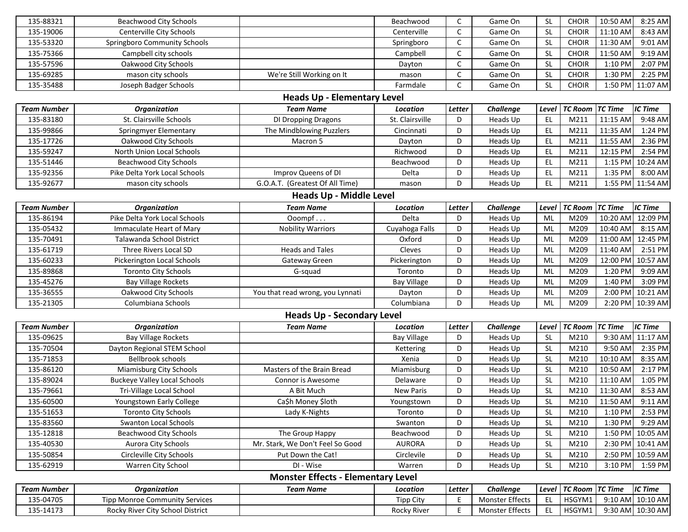| 135-14173                          | Rocky River City School District                      |                                           | Rocky River            | Ε                          | Monster Effects      | EL.                    | HSGYM1                       |                      | 9:30 AM 10:30 AM   |
|------------------------------------|-------------------------------------------------------|-------------------------------------------|------------------------|----------------------------|----------------------|------------------------|------------------------------|----------------------|--------------------|
| 135-04705                          | <b>Tipp Monroe Community Services</b>                 |                                           | Tipp City              | Е                          | Monster Effects      | EL                     | HSGYM1                       |                      | 9:10 AM 10:10 AM   |
| <b>Team Number</b>                 | <b>Organization</b>                                   | <b>Team Name</b>                          | Location               | Letter                     | Challenge            | Level                  | <b>TC Room</b>               | <b>TC Time</b>       | <b>IC Time</b>     |
|                                    |                                                       | <b>Monster Effects - Elementary Level</b> |                        |                            |                      |                        |                              |                      |                    |
| 135-62919                          | Warren City School                                    | DI - Wise                                 | Warren                 | D                          | Heads Up             | <b>SL</b>              | M210                         | 3:10 PM              | 1:59 PM            |
| 135-50854                          | Circleville City Schools                              | Put Down the Cat!                         | Circlevile             | D                          | Heads Up             | SL                     | M210                         |                      | 2:50 PM 10:59 AM   |
| 135-40530                          | Aurora City Schools                                   | Mr. Stark, We Don't Feel So Good          | <b>AURORA</b>          | D                          | Heads Up             | <b>SL</b>              | M210                         |                      | 2:30 PM 10:41 AM   |
| 135-12818                          | <b>Beachwood City Schools</b>                         | The Group Happy                           | Beachwood              | D                          | Heads Up             | <b>SL</b>              | M210                         |                      | 1:50 PM 10:05 AM   |
| 135-83560                          | <b>Swanton Local Schools</b>                          |                                           | Swanton                | D                          | Heads Up             | <b>SL</b>              | M210                         | 1:30 PM              | 9:29 AM            |
| 135-51653                          | <b>Toronto City Schools</b>                           | Lady K-Nights                             | Toronto                | D                          | Heads Up             | <b>SL</b>              | M210                         | 1:10 PM              | 2:53 PM            |
| 135-60500                          | Youngstown Early College                              | CaSh Money Sloth                          | Youngstown             | D                          | Heads Up             | <b>SL</b>              | M210                         | 11:50 AM             | 9:11 AM            |
| 135-79661                          | Tri-Village Local School                              | A Bit Much                                | <b>New Paris</b>       | D                          | Heads Up             | <b>SL</b>              | M210                         | 11:30 AM             | 8:53 AM            |
| 135-89024                          | <b>Buckeye Valley Local Schools</b>                   | Connor is Awesome                         | Delaware               | D                          | Heads Up             | <b>SL</b>              | M210                         | 11:10 AM             | 1:05 PM            |
| 135-86120                          | Miamisburg City Schools                               | Masters of the Brain Bread                | Miamisburg             | D                          | Heads Up             | <b>SL</b>              | M210                         | 10:50 AM             | 2:17 PM            |
| 135-71853                          | <b>Bellbrook schools</b>                              |                                           | Xenia                  | D                          | Heads Up             | <b>SL</b>              | M210                         | 10:10 AM             | 8:35 AM            |
| 135-70504                          | Dayton Regional STEM School                           |                                           | Kettering              | D                          | Heads Up             | <b>SL</b>              | M210                         | 9:50 AM              | 2:35 PM            |
| 135-09625                          | <b>Bay Village Rockets</b>                            |                                           | <b>Bay Village</b>     | D                          | Heads Up             | -SL                    | M210                         |                      | 9:30 AM 11:17 AM   |
| <b>Team Number</b>                 | <b>Organization</b>                                   | <b>Team Name</b>                          | Location               | Letter                     | Challenge            | Level                  | <b>TC Room</b>               | <b>TC Time</b>       | <b>IC Time</b>     |
|                                    |                                                       | <b>Heads Up - Secondary Level</b>         |                        |                            |                      |                        |                              |                      |                    |
| 135-21305                          | Columbiana Schools                                    |                                           | Columbiana             | D                          | Heads Up             | ML                     | M209                         | 2:20 PM              | 10:39 AM           |
| 135-36555                          | Oakwood City Schools                                  | You that read wrong, you Lynnati          | Dayton                 | D                          | Heads Up             | ML                     | M209                         | 2:00 PM              | 10:21 AM           |
| 135-45276                          | <b>Bay Village Rockets</b>                            |                                           | <b>Bay Village</b>     | D                          | Heads Up             | ML                     | M209                         | 1:40 PM              | 3:09 PM            |
| 135-89868                          | <b>Toronto City Schools</b>                           | G-squad                                   | Toronto                | D                          | Heads Up             | ML                     | M209                         | 1:20 PM              | 9:09 AM            |
| 135-60233                          | Pickerington Local Schools                            | Gateway Green                             | Pickerington           | D                          | Heads Up             | ML                     | M209                         | 12:00 PM             | 10:57 AM           |
| 135-61719                          | Three Rivers Local SD                                 | <b>Heads and Tales</b>                    | Cleves                 | D                          | Heads Up             | ML                     | M209                         | 11:40 AM             | 2:51 PM            |
| 135-70491                          | Talawanda School District                             |                                           | Oxford                 | D                          | Heads Up             | ML                     | M209                         | 11:00 AM             | 12:45 PM           |
| 135-05432                          | Immaculate Heart of Mary                              | Ooompf<br><b>Nobility Warriors</b>        | Cuyahoga Falls         | D                          | Heads Up             | ML<br>ML               | M209                         | 10:40 AM             | 8:15 AM            |
| <b>Team Number</b><br>135-86194    | <b>Organization</b><br>Pike Delta York Local Schools  |                                           | Location<br>Delta      | Letter<br>D                | Heads Up             | Level                  | M209                         | 10:20 AM             | 12:09 PM           |
|                                    |                                                       | <b>Team Name</b>                          |                        |                            | Challenge            |                        | <b>TC Room</b>               | <b>TC Time</b>       | <b>IC Time</b>     |
|                                    |                                                       | <b>Heads Up - Middle Level</b>            |                        |                            |                      |                        |                              |                      |                    |
| 135-92677                          | mason city schools                                    | G.O.A.T. (Greatest Of All Time)           | mason                  | D                          | Heads Up             | EL                     | M211                         | 1:55 PM              | 11:54 AM           |
| 135-92356                          | Pike Delta York Local Schools                         | Improv Queens of DI                       | Delta                  | D                          | Heads Up             | EL                     | M211                         | 1:35 PM              | 8:00 AM            |
| 135-51446                          | <b>Beachwood City Schools</b>                         |                                           | Beachwood              | D                          | Heads Up             | EL                     | M211                         | 1:15 PM              | 10:24 AM           |
| 135-59247                          | North Union Local Schools                             |                                           | Richwood               | D                          | Heads Up             | EL                     | M211                         | 12:15 PM             | 2:54 PM            |
| 135-17726                          | Oakwood City Schools                                  | Macron 5                                  | Dayton                 | D                          | Heads Up             | EL                     | M211                         | 11:55 AM             | 2:36 PM            |
| 135-99866                          | St. Clairsville Schools<br>Springmyer Elementary      | The Mindblowing Puzzlers                  | Cincinnati             | D                          | Heads Up<br>Heads Up | EL                     | M211                         | 11:35 AM             | 1:24 PM            |
| 135-83180                          |                                                       | DI Dropping Dragons                       | St. Clairsville        | D                          |                      | EL                     | M211                         | 11:15 AM             | 9:48 AM            |
| <b>Team Number</b>                 | <b>Organization</b>                                   | <b>Team Name</b>                          | Location               | Letter                     | Challenge            | Level                  | <b>TC Room</b>               | <b>TC Time</b>       | <b>IC Time</b>     |
| <b>Heads Up - Elementary Level</b> |                                                       |                                           |                        |                            |                      |                        |                              |                      |                    |
| 135-35488                          | Joseph Badger Schools                                 |                                           | Farmdale               | C                          | Game On              | <b>SL</b>              | <b>CHOIR</b>                 | 1:50 PM              | 11:07 AM           |
| 135-69285                          | mason city schools                                    | We're Still Working on It                 | mason                  | C                          | Game On              | <b>SL</b>              | <b>CHOIR</b>                 | 1:30 PM              | 2:25 PM            |
| 135-57596                          | Oakwood City Schools                                  |                                           | Dayton                 | $\mathsf C$                | Game On              | <b>SL</b>              | <b>CHOIR</b>                 | 1:10 PM              | 2:07 PM            |
| 135-53320<br>135-75366             | Springboro Community Schools<br>Campbell city schools |                                           | Springboro<br>Campbell | $\mathsf C$<br>$\mathsf C$ | Game On<br>Game On   | <b>SL</b><br><b>SL</b> | <b>CHOIR</b><br><b>CHOIR</b> | 11:30 AM<br>11:50 AM | 9:19 AM            |
| 135-19006                          | Centerville City Schools                              |                                           | Centerville            | $\mathsf{C}$               | Game On              | <b>SL</b>              | <b>CHOIR</b>                 | 11:10 AM             | 8:43 AM<br>9:01 AM |
| 135-88321                          | <b>Beachwood City Schools</b>                         |                                           | Beachwood              | C                          | Game On              | <b>SL</b>              | <b>CHOIR</b>                 | 10:50 AM             | 8:25 AM            |
|                                    |                                                       |                                           |                        |                            |                      |                        |                              |                      |                    |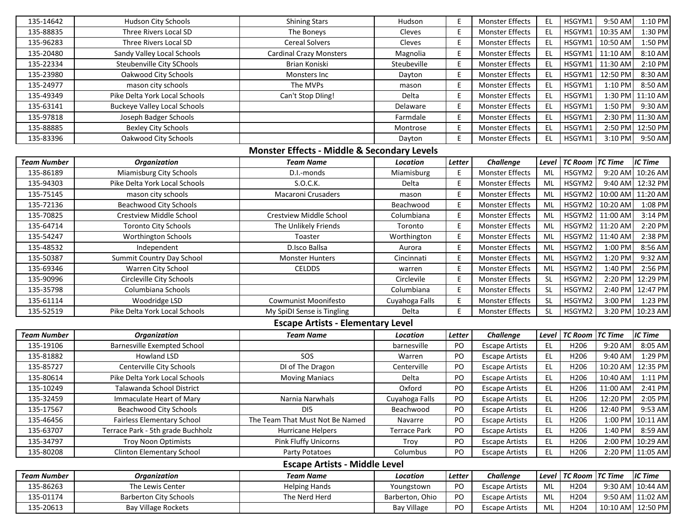| 135-14642<br>135-88835 | Hudson City Schools<br>Three Rivers Local SD            | <b>Shining Stars</b>                                   | Hudson                  | E<br>E | Monster Effects                                  | <b>EL</b><br>EL.       | HSGYM1<br>HSGYM1 | 9:50 AM<br>10:35 AM | 1:10 PM                |
|------------------------|---------------------------------------------------------|--------------------------------------------------------|-------------------------|--------|--------------------------------------------------|------------------------|------------------|---------------------|------------------------|
| 135-96283              | Three Rivers Local SD                                   | The Boneys<br><b>Cereal Solvers</b>                    | Cleves<br>Cleves        | E      | <b>Monster Effects</b><br><b>Monster Effects</b> | EL.                    | HSGYM1           | 10:50 AM            | $1:30$ PM<br>$1:50$ PM |
| 135-20480              |                                                         |                                                        |                         | E      | Monster Effects                                  | <b>EL</b>              |                  | 11:10 AM            |                        |
| 135-22334              | Sandy Valley Local Schools<br>Steubenville City SChools | <b>Cardinal Crazy Monsters</b>                         | Magnolia<br>Steubeville | E      | <b>Monster Effects</b>                           | <b>EL</b>              | HSGYM1<br>HSGYM1 | 11:30 AM            | $8:10$ AM<br>$2:10$ PM |
| 135-23980              |                                                         | Brian Koniski                                          |                         | E      | Monster Effects                                  | <b>EL</b>              | HSGYM1           | 12:50 PM            |                        |
|                        | Oakwood City Schools                                    | Monsters Inc                                           | Dayton                  | E      |                                                  |                        |                  |                     | 8:30 AM                |
| 135-24977<br>135-49349 | mason city schools                                      | The MVPs                                               | mason<br>Delta          | E      | Monster Effects<br>Monster Effects               | <b>EL</b><br><b>EL</b> | HSGYM1<br>HSGYM1 | 1:10 PM             | $8:50$ AM<br>11:10 AM  |
|                        | Pike Delta York Local Schools                           | Can't Stop Dling!                                      | Delaware                |        |                                                  |                        |                  | 1:30 PM             |                        |
| 135-63141              | <b>Buckeye Valley Local Schools</b>                     |                                                        |                         | E      | Monster Effects                                  | EL.                    | HSGYM1           | 1:50 PM             | $9:30$ AM              |
| 135-97818              | Joseph Badger Schools                                   |                                                        | Farmdale                | E      | Monster Effects                                  | <b>EL</b>              | HSGYM1           | 2:30 PM             | 11:30 AM               |
| 135-88885              | <b>Bexley City Schools</b>                              |                                                        | Montrose                | E      | Monster Effects                                  | <b>EL</b>              | HSGYM1           | 2:50 PM             | 12:50 PM               |
| 135-83396              | Oakwood City Schools                                    |                                                        | Dayton                  | E      | <b>Monster Effects</b>                           | EL.                    | HSGYM1           | 3:10 PM             | $9:50$ AM              |
|                        |                                                         | <b>Monster Effects - Middle &amp; Secondary Levels</b> |                         |        |                                                  |                        |                  |                     |                        |
| <b>Team Number</b>     | <b>Organization</b>                                     | <b>Team Name</b>                                       | Location                | Letter | Challenge                                        | Level                  | <b>TC Room</b>   | <b>TC Time</b>      | <b>IC Time</b>         |
| 135-86189              | Miamisburg City Schools                                 | D.I.-monds                                             | Miamisburg              | Ε      | <b>Monster Effects</b>                           | ML                     | HSGYM2           |                     | 9:20 AM 10:26 AM       |
| 135-94303              | Pike Delta York Local Schools                           | S.O.C.K.                                               | Delta                   | E      | <b>Monster Effects</b>                           | ML                     | HSGYM2           | 9:40 AM             | 12:32 PM               |
| 135-75145              | mason city schools                                      | Macaroni Crusaders                                     | mason                   | E      | <b>Monster Effects</b>                           | ML                     | HSGYM2           | 10:00 AM            | 11:20 AM               |
| 135-72136              | <b>Beachwood City Schools</b>                           |                                                        | Beachwood               | E      | Monster Effects                                  | ML                     | HSGYM2           | 10:20 AM            | 1:08 PM                |
| 135-70825              | Crestview Middle School                                 | Crestview Middle School                                | Columbiana              | E      | Monster Effects                                  | ML                     | HSGYM2           | 11:00 AM            | 3:14 PM                |
| 135-64714              | <b>Toronto City Schools</b>                             | The Unlikely Friends                                   | Toronto                 | E      | Monster Effects                                  | ML                     | HSGYM2           | 11:20 AM            | 2:20 PM                |
| 135-54247              | <b>Worthington Schools</b>                              | Toaster                                                | Worthington             | E      | Monster Effects                                  | ML                     | HSGYM2           | 11:40 AM            | $2:38$ PM              |
| 135-48532              | Independent                                             | D.Isco Ballsa                                          | Aurora                  | E      | Monster Effects                                  | ML                     | HSGYM2           | 1:00 PM             | 8:56 AM                |
| 135-50387              | Summit Country Day School                               | <b>Monster Hunters</b>                                 | Cincinnati              | E      | Monster Effects                                  | ML                     | HSGYM2           | 1:20 PM             | 9:32 AM                |
| 135-69346              | Warren City School                                      | <b>CELDDS</b>                                          | warren                  | E      | Monster Effects                                  | ML                     | HSGYM2           | 1:40 PM             | 2:56 PM                |
| 135-90996              | Circleville City Schools                                |                                                        | Circlevile              | E      | Monster Effects                                  | <b>SL</b>              | HSGYM2           | 2:20 PM             | 12:29 PM               |
| 135-35798              | Columbiana Schools                                      |                                                        | Columbiana              | E      | <b>Monster Effects</b>                           | <b>SL</b>              | HSGYM2           | 2:40 PM             | 12:47 PM               |
| 135-61114              | Woodridge LSD                                           | Cowmunist Moonifesto                                   | Cuyahoga Falls          | E      | <b>Monster Effects</b>                           | <b>SL</b>              | HSGYM2           | 3:00 PM             | $1:23$ PM              |
| 135-52519              | Pike Delta York Local Schools                           | My SpiDI Sense is Tingling                             | Delta                   | E      | <b>Monster Effects</b>                           | <b>SL</b>              | HSGYM2           |                     | 3:20 PM 10:23 AM       |
|                        |                                                         | <b>Escape Artists - Elementary Level</b>               |                         |        |                                                  |                        |                  |                     |                        |
| <b>Team Number</b>     | <b>Organization</b>                                     | <b>Team Name</b>                                       | Location                | Letter | Challenge                                        | Level                  | <b>TC Room</b>   | <b>TC Time</b>      | <b>IC Time</b>         |
| 135-19106              | <b>Barnesville Exempted School</b>                      |                                                        | barnesville             | PO     | <b>Escape Artists</b>                            | <b>EL</b>              | H206             | 9:20 AM             | $8:05$ AM              |
| 135-81882              | Howland LSD                                             | SOS                                                    | Warren                  | PO     | <b>Escape Artists</b>                            | $\mathsf{EL}$          | H206             | 9:40 AM             | 1:29 PM                |
| 135-85727              | Centerville City Schools                                | DI of The Dragon                                       | Centerville             | PO     | <b>Escape Artists</b>                            | $\mathsf{EL}$          | H206             | 10:20 AM            | 12:35 PM               |
| 135-80614              | Pike Delta York Local Schools                           | <b>Moving Maniacs</b>                                  | Delta                   | PO     | <b>Escape Artists</b>                            | $\mathsf{EL}$          | H206             | 10:40 AM            | 1:11 PM                |
| 135-10249              | Talawanda School District                               |                                                        | Oxford                  | PO     | <b>Escape Artists</b>                            | <b>EL</b>              | H206             | 11:00 AM            | 2:41 PM                |
| 135-32459              | Immaculate Heart of Mary                                | Narnia Narwhals                                        | Cuyahoga Falls          | PO     | <b>Escape Artists</b>                            | EL.                    | H206             | 12:20 PM            | 2:05 PM                |
| 135-17567              | <b>Beachwood City Schools</b>                           | DI <sub>5</sub>                                        | Beachwood               | PO     | <b>Escape Artists</b>                            | EL                     | H206             |                     | 12:40 PM 9:53 AM       |
| 135-46456              | <b>Fairless Elementary School</b>                       | The Team That Must Not Be Named                        | Navarre                 | PO     | <b>Escape Artists</b>                            | $\mathsf{EL}$          | H206             |                     | 1:00 PM 10:11 AM       |
| 135-63707              | Terrace Park - 5th grade Buchholz                       | Hurricane Helpers                                      | <b>Terrace Park</b>     | PO     | <b>Escape Artists</b>                            | EL.                    | H206             |                     | 1:40 PM 8:59 AM        |
| 135-34797              | <b>Troy Noon Optimists</b>                              | Pink Fluffy Unicorns                                   | Troy                    | PO     | <b>Escape Artists</b>                            | EL                     | H206             |                     | 2:00 PM 10:29 AM       |
| 135-80208              | <b>Clinton Elementary School</b>                        | Party Potatoes                                         | Columbus                | PO     | <b>Escape Artists</b>                            | EL.                    | H206             |                     | 2:20 PM 11:05 AM       |
|                        |                                                         | <b>Escape Artists - Middle Level</b>                   |                         |        |                                                  |                        |                  |                     |                        |
| <b>Team Number</b>     | <b>Organization</b>                                     | <b>Team Name</b>                                       | Location                | Letter | Challenge                                        | Level                  | <b>TC Room</b>   | <b>TC Time</b>      | <b>IC Time</b>         |
| 135-86263              | The Lewis Center                                        | <b>Helping Hands</b>                                   | Youngstown              | PO     | <b>Escape Artists</b>                            | ML                     | H204             |                     | 9:30 AM 10:44 AM       |
| 135-01174              | <b>Barberton City Schools</b>                           | The Nerd Herd                                          | Barberton, Ohio         | PO     | <b>Escape Artists</b>                            | ML                     | H204             |                     | 9:50 AM 11:02 AM       |
|                        |                                                         |                                                        |                         |        |                                                  |                        |                  |                     |                        |
| 135-20613              | <b>Bay Village Rockets</b>                              |                                                        | <b>Bay Village</b>      | PO     | <b>Escape Artists</b>                            | ML                     | H204             |                     | 10:10 AM 12:50 PM      |